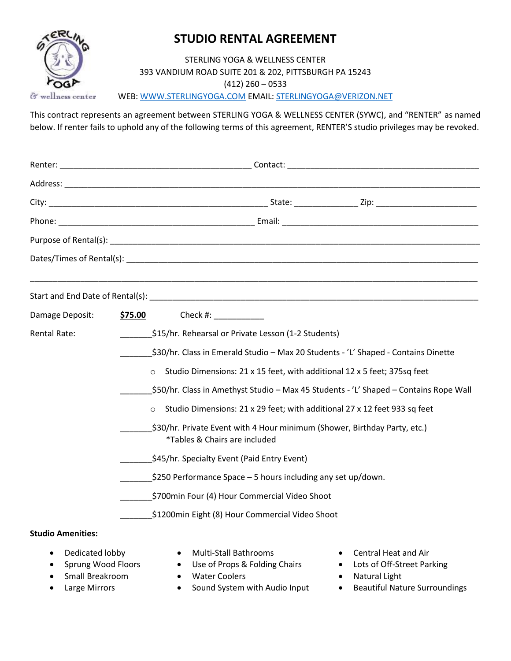

# **STUDIO RENTAL AGREEMENT**

STERLING YOGA & WELLNESS CENTER 393 VANDIUM ROAD SUITE 201 & 202, PITTSBURGH PA 15243 (412) 260 – 0533 WEB: [WWW.STERLINGYOGA.COM](http://www.sterlingyoga.com/) EMAIL: [STERLINGYOGA@VERIZON.NET](mailto:STERLINGYOGA@VERIZON.NET)

This contract represents an agreement between STERLING YOGA & WELLNESS CENTER (SYWC), and "RENTER" as named below. If renter fails to uphold any of the following terms of this agreement, RENTER'S studio privileges may be revoked.

| Damage Deposit:                                    | \$75.00<br>Check #: ______________                                                                                                 |
|----------------------------------------------------|------------------------------------------------------------------------------------------------------------------------------------|
| <b>Rental Rate:</b>                                | \$15/hr. Rehearsal or Private Lesson (1-2 Students)                                                                                |
|                                                    | \$30/hr. Class in Emerald Studio - Max 20 Students - 'L' Shaped - Contains Dinette                                                 |
|                                                    | Studio Dimensions: 21 x 15 feet, with additional 12 x 5 feet; 375sq feet<br>$\circ$                                                |
|                                                    | \$50/hr. Class in Amethyst Studio - Max 45 Students - 'L' Shaped - Contains Rope Wall                                              |
|                                                    | Studio Dimensions: 21 x 29 feet; with additional 27 x 12 feet 933 sq feet<br>$\circ$                                               |
|                                                    | \$30/hr. Private Event with 4 Hour minimum (Shower, Birthday Party, etc.)<br>*Tables & Chairs are included                         |
|                                                    | \$45/hr. Specialty Event (Paid Entry Event)                                                                                        |
|                                                    | $$250$ Performance Space $-5$ hours including any set up/down.                                                                     |
|                                                    | \$700min Four (4) Hour Commercial Video Shoot                                                                                      |
|                                                    | \$1200min Eight (8) Hour Commercial Video Shoot                                                                                    |
| <b>Studio Amenities:</b>                           |                                                                                                                                    |
| Dedicated lobby<br>Sprung Wood Floors<br>$\bullet$ | <b>Multi-Stall Bathrooms</b><br>Central Heat and Air<br>• Use of Props & Folding Chairs<br>Lots of Off-Street Parking<br>$\bullet$ |

- Small Breakroom Water Coolers Natural Light
- 
- 
- 
- Large Mirrors **•** Sound System with Audio Input Beautiful Nature Surroundings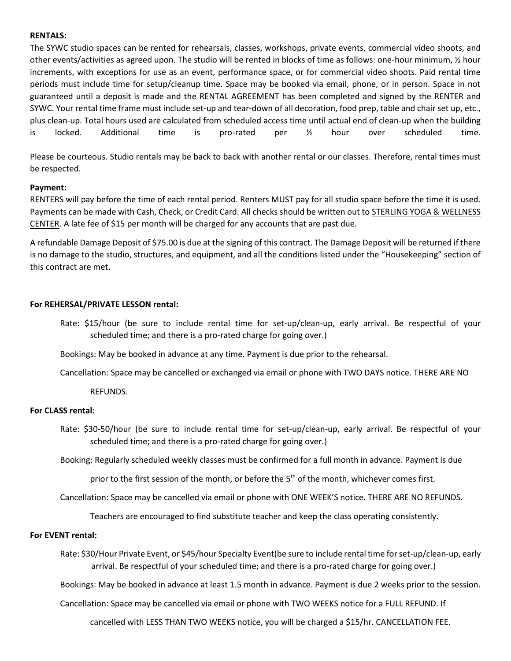## **RENTALS:**

The SYWC studio spaces can be rented for rehearsals, classes, workshops, private events, commercial video shoots, and other events/activities as agreed upon. The studio will be rented in blocks of time as follows: one-hour minimum, ½ hour increments, with exceptions for use as an event, performance space, or for commercial video shoots. Paid rental time periods must include time for setup/cleanup time. Space may be booked via email, phone, or in person. Space in not guaranteed until a deposit is made and the RENTAL AGREEMENT has been completed and signed by the RENTER and SYWC. Your rental time frame must include set-up and tear-down of all decoration, food prep, table and chair set up, etc., plus clean-up. Total hours used are calculated from scheduled access time until actual end of clean-up when the building is locked. Additional time is pro-rated per ½ hour over scheduled time.

Please be courteous. Studio rentals may be back to back with another rental or our classes. Therefore, rental times must be respected.

## **Payment:**

RENTERS will pay before the time of each rental period. Renters MUST pay for all studio space before the time it is used. Payments can be made with Cash, Check, or Credit Card. All checks should be written out to STERLING YOGA & WELLNESS CENTER. A late fee of \$15 per month will be charged for any accounts that are past due.

A refundable Damage Deposit of \$75.00 is due at the signing of this contract. The Damage Deposit will be returned if there is no damage to the studio, structures, and equipment, and all the conditions listed under the "Housekeeping" section of this contract are met.

#### **For REHERSAL/PRIVATE LESSON rental:**

Rate: \$15/hour (be sure to include rental time for set-up/clean-up, early arrival. Be respectful of your scheduled time; and there is a pro-rated charge for going over.)

Bookings: May be booked in advance at any time. Payment is due prior to the rehearsal.

Cancellation: Space may be cancelled or exchanged via email or phone with TWO DAYS notice. THERE ARE NO

REFUNDS.

#### **For CLASS rental:**

Rate: \$30-50/hour (be sure to include rental time for set-up/clean-up, early arrival. Be respectful of your scheduled time; and there is a pro-rated charge for going over.)

Booking: Regularly scheduled weekly classes must be confirmed for a full month in advance. Payment is due

prior to the first session of the month, or before the 5<sup>th</sup> of the month, whichever comes first.

Cancellation: Space may be cancelled via email or phone with ONE WEEK'S notice. THERE ARE NO REFUNDS.

Teachers are encouraged to find substitute teacher and keep the class operating consistently.

#### **For EVENT rental:**

Rate: \$30/Hour Private Event, or \$45/hour Specialty Event(be sure to include rental time for set-up/clean-up, early arrival. Be respectful of your scheduled time; and there is a pro-rated charge for going over.)

Bookings: May be booked in advance at least 1.5 month in advance. Payment is due 2 weeks prior to the session.

Cancellation: Space may be cancelled via email or phone with TWO WEEKS notice for a FULL REFUND. If

cancelled with LESS THAN TWO WEEKS notice, you will be charged a \$15/hr. CANCELLATION FEE.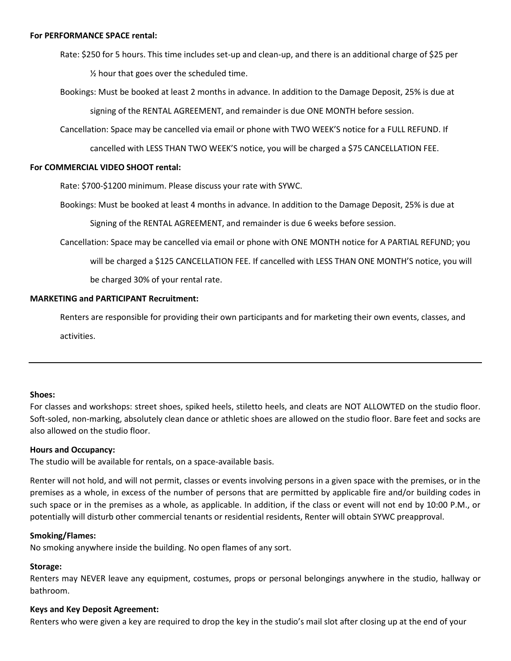- Rate: \$250 for 5 hours. This time includes set-up and clean-up, and there is an additional charge of \$25 per ½ hour that goes over the scheduled time.
- Bookings: Must be booked at least 2 months in advance. In addition to the Damage Deposit, 25% is due at signing of the RENTAL AGREEMENT, and remainder is due ONE MONTH before session.
- Cancellation: Space may be cancelled via email or phone with TWO WEEK'S notice for a FULL REFUND. If

cancelled with LESS THAN TWO WEEK'S notice, you will be charged a \$75 CANCELLATION FEE.

## **For COMMERCIAL VIDEO SHOOT rental:**

Rate: \$700-\$1200 minimum. Please discuss your rate with SYWC.

Bookings: Must be booked at least 4 months in advance. In addition to the Damage Deposit, 25% is due at

Signing of the RENTAL AGREEMENT, and remainder is due 6 weeks before session.

Cancellation: Space may be cancelled via email or phone with ONE MONTH notice for A PARTIAL REFUND; you will be charged a \$125 CANCELLATION FEE. If cancelled with LESS THAN ONE MONTH'S notice, you will be charged 30% of your rental rate.

## **MARKETING and PARTICIPANT Recruitment:**

Renters are responsible for providing their own participants and for marketing their own events, classes, and activities.

## **Shoes:**

For classes and workshops: street shoes, spiked heels, stiletto heels, and cleats are NOT ALLOWTED on the studio floor. Soft-soled, non-marking, absolutely clean dance or athletic shoes are allowed on the studio floor. Bare feet and socks are also allowed on the studio floor.

#### **Hours and Occupancy:**

The studio will be available for rentals, on a space-available basis.

Renter will not hold, and will not permit, classes or events involving persons in a given space with the premises, or in the premises as a whole, in excess of the number of persons that are permitted by applicable fire and/or building codes in such space or in the premises as a whole, as applicable. In addition, if the class or event will not end by 10:00 P.M., or potentially will disturb other commercial tenants or residential residents, Renter will obtain SYWC preapproval.

#### **Smoking/Flames:**

No smoking anywhere inside the building. No open flames of any sort.

#### **Storage:**

Renters may NEVER leave any equipment, costumes, props or personal belongings anywhere in the studio, hallway or bathroom.

#### **Keys and Key Deposit Agreement:**

Renters who were given a key are required to drop the key in the studio's mail slot after closing up at the end of your